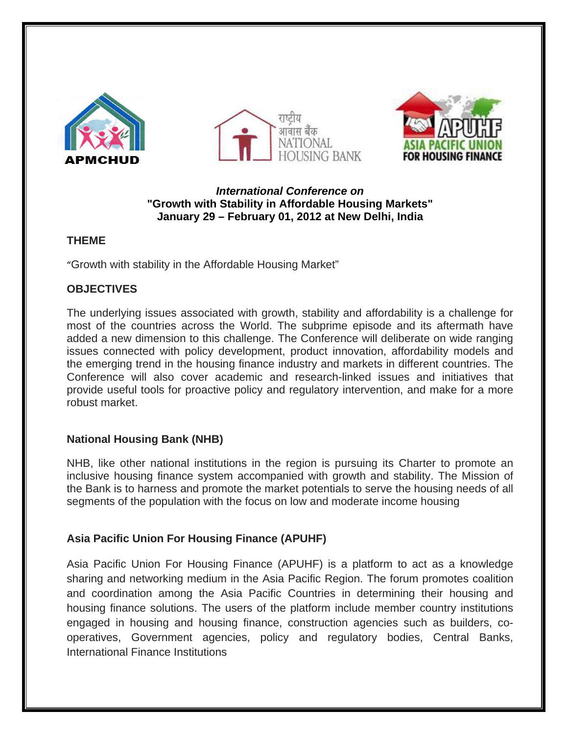





### *International Conference on*  **"Growth with Stability in Affordable Housing Markets" January 29 – February 01, 2012 at New Delhi, India**

# **THEME**

"Growth with stability in the Affordable Housing Market"

# **OBJECTIVES**

The underlying issues associated with growth, stability and affordability is a challenge for most of the countries across the World. The subprime episode and its aftermath have added a new dimension to this challenge. The Conference will deliberate on wide ranging issues connected with policy development, product innovation, affordability models and the emerging trend in the housing finance industry and markets in different countries. The Conference will also cover academic and research-linked issues and initiatives that provide useful tools for proactive policy and regulatory intervention, and make for a more robust market.

# **National Housing Bank (NHB)**

NHB, like other national institutions in the region is pursuing its Charter to promote an inclusive housing finance system accompanied with growth and stability. The Mission of the Bank is to harness and promote the market potentials to serve the housing needs of all segments of the population with the focus on low and moderate income housing

# **Asia Pacific Union For Housing Finance (APUHF)**

Asia Pacific Union For Housing Finance (APUHF) is a platform to act as a knowledge sharing and networking medium in the Asia Pacific Region. The forum promotes coalition and coordination among the Asia Pacific Countries in determining their housing and housing finance solutions. The users of the platform include member country institutions engaged in housing and housing finance, construction agencies such as builders, cooperatives, Government agencies, policy and regulatory bodies, Central Banks, International Finance Institutions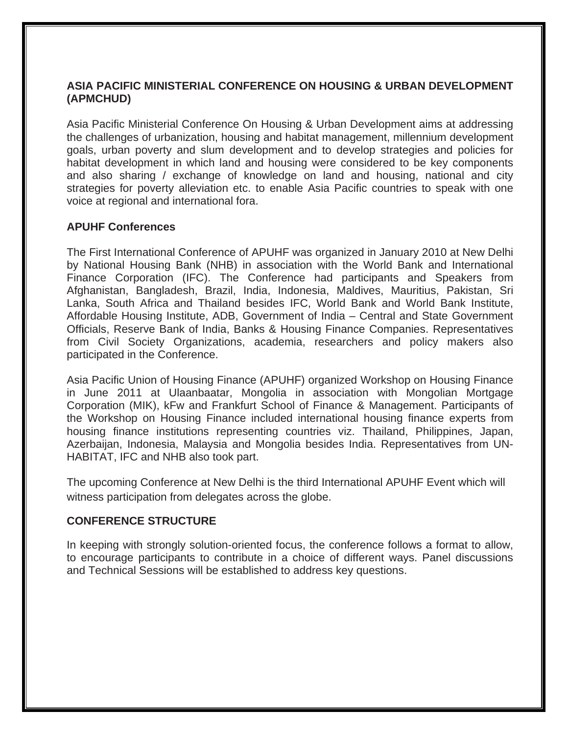## **ASIA PACIFIC MINISTERIAL CONFERENCE ON HOUSING & URBAN DEVELOPMENT (APMCHUD)**

Asia Pacific Ministerial Conference On Housing & Urban Development aims at addressing the challenges of urbanization, housing and habitat management, millennium development goals, urban poverty and slum development and to develop strategies and policies for habitat development in which land and housing were considered to be key components and also sharing / exchange of knowledge on land and housing, national and city strategies for poverty alleviation etc. to enable Asia Pacific countries to speak with one voice at regional and international fora.

## **APUHF Conferences**

The First International Conference of APUHF was organized in January 2010 at New Delhi by National Housing Bank (NHB) in association with the World Bank and International Finance Corporation (IFC). The Conference had participants and Speakers from Afghanistan, Bangladesh, Brazil, India, Indonesia, Maldives, Mauritius, Pakistan, Sri Lanka, South Africa and Thailand besides IFC, World Bank and World Bank Institute, Affordable Housing Institute, ADB, Government of India – Central and State Government Officials, Reserve Bank of India, Banks & Housing Finance Companies. Representatives from Civil Society Organizations, academia, researchers and policy makers also participated in the Conference.

Asia Pacific Union of Housing Finance (APUHF) organized Workshop on Housing Finance in June 2011 at Ulaanbaatar, Mongolia in association with Mongolian Mortgage Corporation (MIK), kFw and Frankfurt School of Finance & Management. Participants of the Workshop on Housing Finance included international housing finance experts from housing finance institutions representing countries viz. Thailand, Philippines, Japan, Azerbaijan, Indonesia, Malaysia and Mongolia besides India. Representatives from UN-HABITAT, IFC and NHB also took part.

The upcoming Conference at New Delhi is the third International APUHF Event which will witness participation from delegates across the globe.

### **CONFERENCE STRUCTURE**

In keeping with strongly solution-oriented focus, the conference follows a format to allow, to encourage participants to contribute in a choice of different ways. Panel discussions and Technical Sessions will be established to address key questions.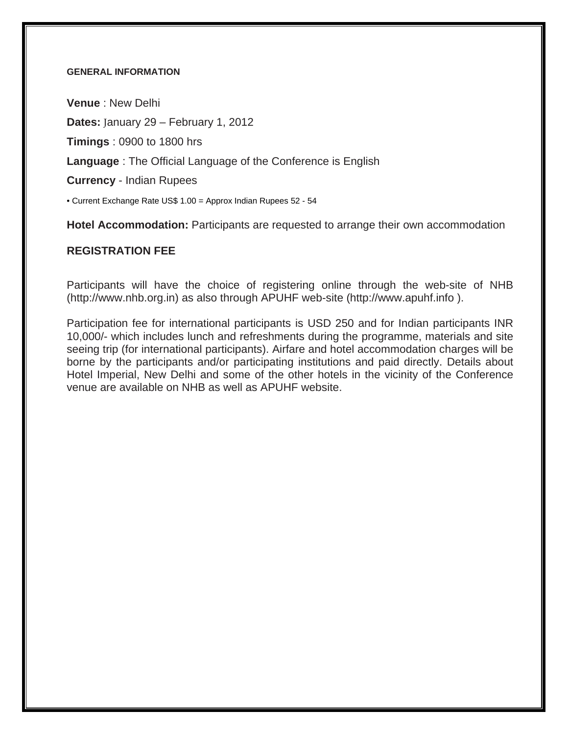#### **GENERAL INFORMATION**

**Venue** : New Delhi **Dates:** January 29 – February 1, 2012 **Timings** : 0900 to 1800 hrs

**Language** : The Official Language of the Conference is English

**Currency** - Indian Rupees

• Current Exchange Rate US\$ 1.00 = Approx Indian Rupees 52 - 54

**Hotel Accommodation:** Participants are requested to arrange their own accommodation

#### **REGISTRATION FEE**

Participants will have the choice of registering online through the web-site of NHB ([http://www.nhb.org.in\)](http://www.nhb.org.in/) as also through APUHF web-site [\(http://www.apuhf.info](http://www.apuhf.info/) ).

Participation fee for international participants is USD 250 and for Indian participants INR 10,000/- which includes lunch and refreshments during the programme, materials and site seeing trip (for international participants). Airfare and hotel accommodation charges will be borne by the participants and/or participating institutions and paid directly. Details about Hotel Imperial, New Delhi and some of the other hotels in the vicinity of the Conference venue are available on NHB as well as APUHF website.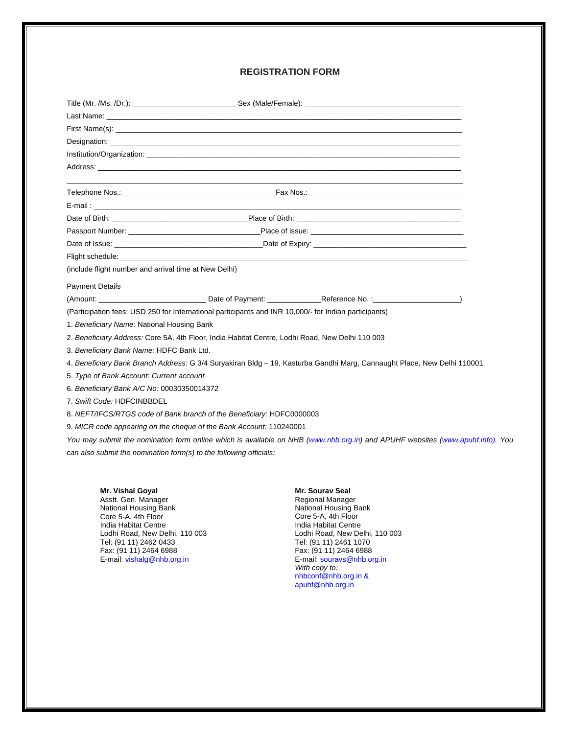#### **REGISTRATION FORM**

|                                                                                                                         | Date of Birth: <b>Date of Birth:</b> Place of Birth:                                                 |
|-------------------------------------------------------------------------------------------------------------------------|------------------------------------------------------------------------------------------------------|
|                                                                                                                         | Passport Number: __________________________________Place of issue: _________________________________ |
|                                                                                                                         |                                                                                                      |
|                                                                                                                         |                                                                                                      |
| (include flight number and arrival time at New Delhi)                                                                   |                                                                                                      |
| <b>Payment Details</b>                                                                                                  |                                                                                                      |
|                                                                                                                         |                                                                                                      |
| (Participation fees: USD 250 for International participants and INR 10,000/- for Indian participants)                   |                                                                                                      |
| 1. Beneficiary Name: National Housing Bank                                                                              |                                                                                                      |
|                                                                                                                         | 2. Beneficiary Address: Core 5A, 4th Floor, India Habitat Centre, Lodhi Road, New Delhi 110 003      |
| 3. Beneficiary Bank Name: HDFC Bank Ltd.                                                                                |                                                                                                      |
| 4. Beneficiary Bank Branch Address: G 3/4 Suryakiran Bldg - 19, Kasturba Gandhi Marg, Cannaught Place, New Delhi 110001 |                                                                                                      |
| 5. Type of Bank Account: Current account                                                                                |                                                                                                      |
| 6. Beneficiary Bank A/C No: 00030350014372                                                                              |                                                                                                      |
| 7. Swift Code: HDFCINBBDEL                                                                                              |                                                                                                      |
| 8. NEFT/IFCS/RTGS code of Bank branch of the Beneficiary: HDFC0000003                                                   |                                                                                                      |
| 9. MICR code appearing on the cheque of the Bank Account: 110240001                                                     |                                                                                                      |
|                                                                                                                         |                                                                                                      |

*You may submit the nomination form online which is available on NHB (www.nhb.org.in) and APUHF websites (www.apuhf.info). You can also submit the nomination form(s) to the following officials:* 

**Mr. Vishal Goyal**  Asstt. Gen. Manager National Housing Bank Core 5-A, 4th Floor India Habitat Centre Lodhi Road, New Delhi, 110 003 Tel: (91 11) 2462 0433 Fax: (91 11) 2464 6988 E-mail: vishalg@nhb.org.in

**Mr. Sourav Seal**  Regional Manager National Housing Bank Core 5-A, 4th Floor India Habitat Centre Lodhi Road, New Delhi, 110 003 Tel: (91 11) 2461 1070 Fax: (91 11) 2464 6988 E-mail: souravs@nhb.org.in *With copy to:*  nhbconf@nhb.org.in & apuhf@nhb.org.in